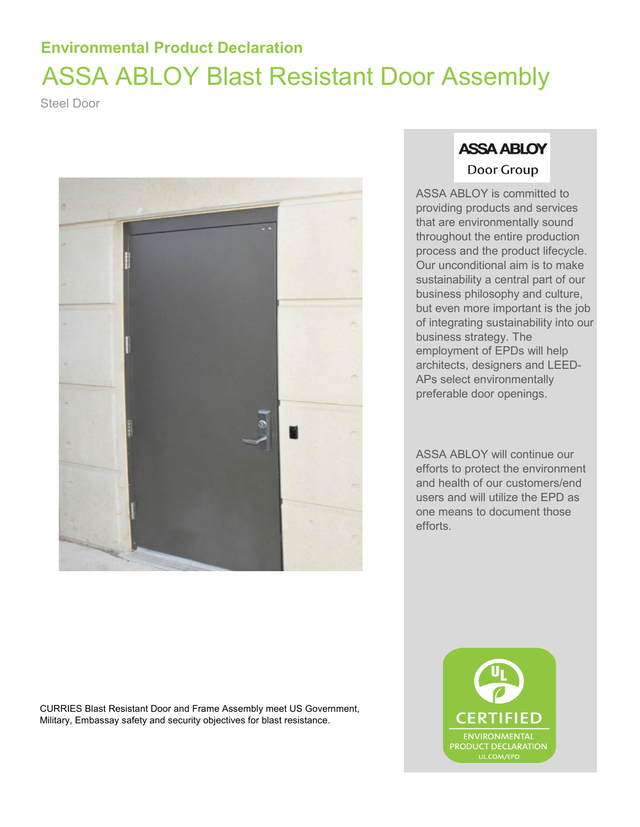## **Environmental Product Declaration** ASSA ABLOY Blast Resistant Door Assembly

Steel Door



CURRIES Blast Resistant Door and Frame Assembly meet US Government, Military, Embassay safety and security objectives for blast resistance.

### **ASSA ABLOY** Door Group

ASSA ABLOY is committed to providing products and services that are environmentally sound throughout the entire production process and the product lifecycle. Our unconditional aim is to make sustainability a central part of our business philosophy and culture, but even more important is the job of integrating sustainability into our business strategy. The employment of EPDs will help architects, designers and LEED-APs select environmentally preferable door openings.

ASSA ABLOY will continue our efforts to protect the environment and health of our customers/end users and will utilize the EPD as one means to document those efforts.

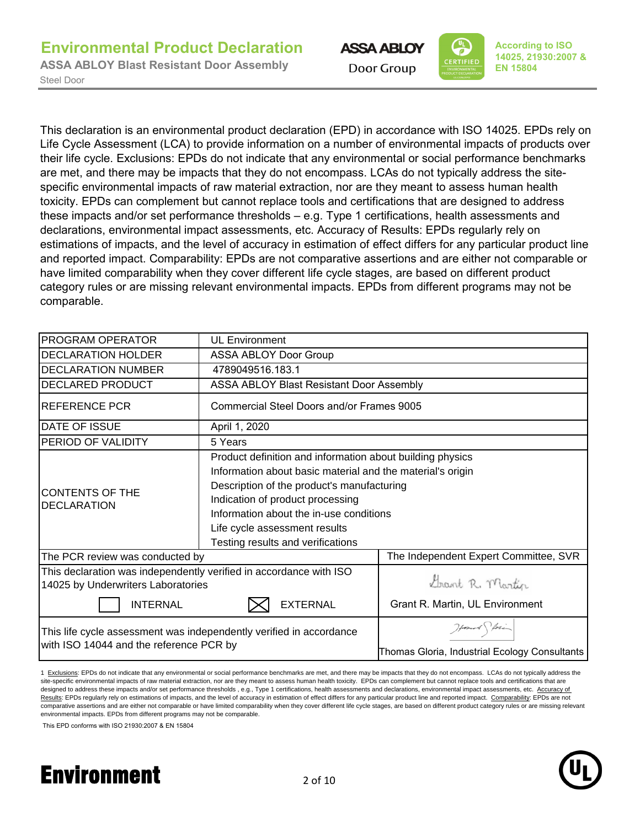



This declaration is an environmental product declaration (EPD) in accordance with ISO 14025. EPDs rely on Life Cycle Assessment (LCA) to provide information on a number of environmental impacts of products over their life cycle. Exclusions: EPDs do not indicate that any environmental or social performance benchmarks are met, and there may be impacts that they do not encompass. LCAs do not typically address the sitespecific environmental impacts of raw material extraction, nor are they meant to assess human health toxicity. EPDs can complement but cannot replace tools and certifications that are designed to address these impacts and/or set performance thresholds – e.g. Type 1 certifications, health assessments and declarations, environmental impact assessments, etc. Accuracy of Results: EPDs regularly rely on estimations of impacts, and the level of accuracy in estimation of effect differs for any particular product line and reported impact. Comparability: EPDs are not comparative assertions and are either not comparable or have limited comparability when they cover different life cycle stages, are based on different product category rules or are missing relevant environmental impacts. EPDs from different programs may not be comparable.

| <b>PROGRAM OPERATOR</b>                                                                                  | <b>UL Environment</b>                                      |                                               |  |  |  |  |  |
|----------------------------------------------------------------------------------------------------------|------------------------------------------------------------|-----------------------------------------------|--|--|--|--|--|
| <b>DECLARATION HOLDER</b>                                                                                |                                                            |                                               |  |  |  |  |  |
| <b>DECLARATION NUMBER</b>                                                                                | 4789049516.183.1                                           |                                               |  |  |  |  |  |
| <b>DECLARED PRODUCT</b>                                                                                  | ASSA ABLOY Blast Resistant Door Assembly                   |                                               |  |  |  |  |  |
| <b>IREFERENCE PCR</b>                                                                                    | Commercial Steel Doors and/or Frames 9005                  |                                               |  |  |  |  |  |
| <b>DATE OF ISSUE</b>                                                                                     | April 1, 2020                                              |                                               |  |  |  |  |  |
| <b>PERIOD OF VALIDITY</b>                                                                                | 5 Years                                                    |                                               |  |  |  |  |  |
|                                                                                                          | Product definition and information about building physics  |                                               |  |  |  |  |  |
|                                                                                                          | Information about basic material and the material's origin |                                               |  |  |  |  |  |
| CONTENTS OF THE                                                                                          | Description of the product's manufacturing                 |                                               |  |  |  |  |  |
| <b>DECLARATION</b>                                                                                       | Indication of product processing                           |                                               |  |  |  |  |  |
|                                                                                                          | Information about the in-use conditions                    |                                               |  |  |  |  |  |
|                                                                                                          | Life cycle assessment results                              |                                               |  |  |  |  |  |
|                                                                                                          | Testing results and verifications                          |                                               |  |  |  |  |  |
| The PCR review was conducted by                                                                          |                                                            | The Independent Expert Committee, SVR         |  |  |  |  |  |
| This declaration was independently verified in accordance with ISO<br>14025 by Underwriters Laboratories |                                                            | Grant R. Martin                               |  |  |  |  |  |
| <b>INTERNAL</b>                                                                                          | <b>EXTERNAL</b>                                            | Grant R. Martin, UL Environment               |  |  |  |  |  |
| This life cycle assessment was independently verified in accordance                                      |                                                            | Howard forin                                  |  |  |  |  |  |
| with ISO 14044 and the reference PCR by                                                                  |                                                            | Thomas Gloria, Industrial Ecology Consultants |  |  |  |  |  |

1 Exclusions: EPDs do not indicate that any environmental or social performance benchmarks are met, and there may be impacts that they do not encompass. LCAs do not typically address the site-specific environmental impacts of raw material extraction, nor are they meant to assess human health toxicity. EPDs can complement but cannot replace tools and certifications that are designed to address these impacts and/or set performance thresholds, e.g., Type 1 certifications, health assessments and declarations, environmental impact assessments, etc. Accuracy of Results: EPDs regularly rely on estimations of impacts, and the level of accuracy in estimation of effect differs for any particular product line and reported impact. Comparability: EPDs are not comparative assertions and are either not comparable or have limited comparability when they cover different life cycle stages, are based on different product category rules or are missing relevant environmental impacts. EPDs from different programs may not be comparable.

This EPD conforms with ISO 21930:2007 & EN 15804

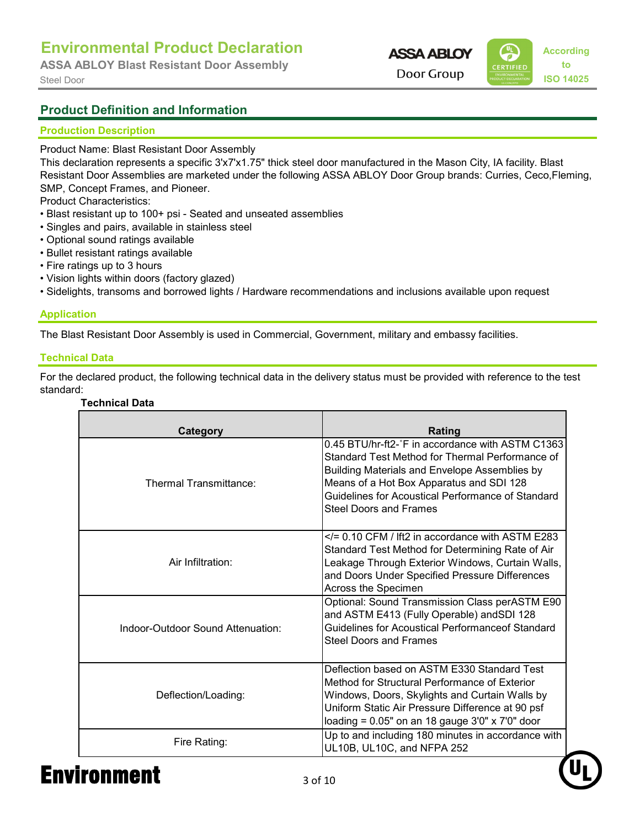**ASSA ABLOY Blast Resistant Door Assembly**

**ASSA ABLOY** 



#### **Product Definition and Information**

#### **Production Description**

Product Name: Blast Resistant Door Assembly

This declaration represents a specific 3'x7'x1.75" thick steel door manufactured in the Mason City, IA facility. Blast Resistant Door Assemblies are marketed under the following ASSA ABLOY Door Group brands: Curries, Ceco,Fleming, SMP, Concept Frames, and Pioneer.

Product Characteristics:

- Blast resistant up to 100+ psi Seated and unseated assemblies
- Singles and pairs, available in stainless steel
- Optional sound ratings available
- Bullet resistant ratings available
- Fire ratings up to 3 hours
- Vision lights within doors (factory glazed)
- Sidelights, transoms and borrowed lights / Hardware recommendations and inclusions available upon request

#### **Application**

The Blast Resistant Door Assembly is used in Commercial, Government, military and embassy facilities.

#### **Technical Data**

For the declared product, the following technical data in the delivery status must be provided with reference to the test standard:

#### **Technical Data**

| Category                          | Rating                                                                                                                                                                                                                                                                                 |
|-----------------------------------|----------------------------------------------------------------------------------------------------------------------------------------------------------------------------------------------------------------------------------------------------------------------------------------|
| Thermal Transmittance:            | 0.45 BTU/hr-ft2-°F in accordance with ASTM C1363<br>Standard Test Method for Thermal Performance of<br>Building Materials and Envelope Assemblies by<br>Means of a Hot Box Apparatus and SDI 128<br>Guidelines for Acoustical Performance of Standard<br><b>Steel Doors and Frames</b> |
| Air Infiltration:                 | $\le$ /= 0.10 CFM / Ift2 in accordance with ASTM E283<br>Standard Test Method for Determining Rate of Air<br>Leakage Through Exterior Windows, Curtain Walls,<br>and Doors Under Specified Pressure Differences<br>Across the Specimen                                                 |
| Indoor-Outdoor Sound Attenuation: | Optional: Sound Transmission Class perASTM E90<br>and ASTM E413 (Fully Operable) and SDI 128<br>Guidelines for Acoustical Performanceof Standard<br><b>Steel Doors and Frames</b>                                                                                                      |
| Deflection/Loading:               | Deflection based on ASTM E330 Standard Test<br>Method for Structural Performance of Exterior<br>Windows, Doors, Skylights and Curtain Walls by<br>Uniform Static Air Pressure Difference at 90 psf<br>loading = $0.05"$ on an 18 gauge 3'0" x 7'0" door                                |
| Fire Rating:                      | Up to and including 180 minutes in accordance with<br>UL10B, UL10C, and NFPA 252                                                                                                                                                                                                       |

## Environment 3 of 10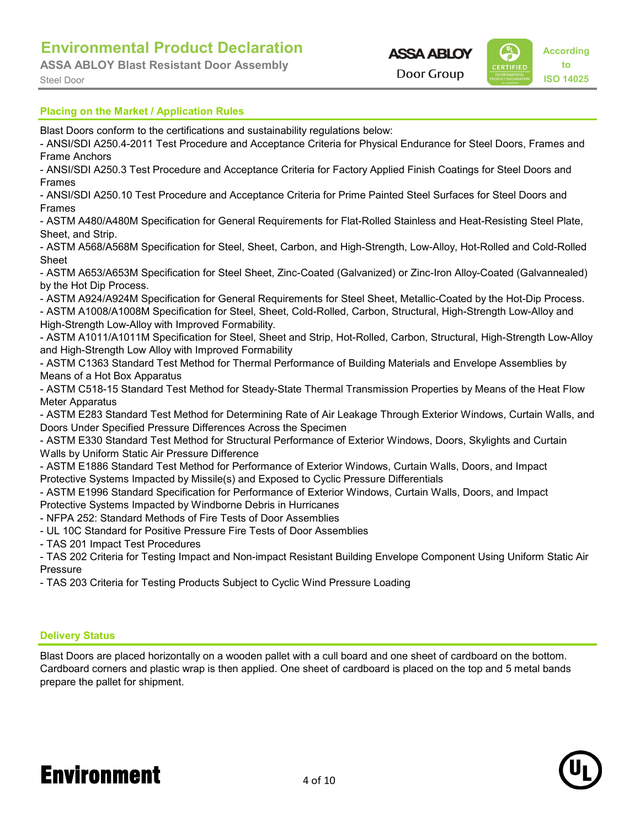**ASSA ABLOY Blast Resistant Door Assembly**



Blast Doors conform to the certifications and sustainability regulations below:

- ANSI/SDI A250.4-2011 Test Procedure and Acceptance Criteria for Physical Endurance for Steel Doors, Frames and Frame Anchors

- ANSI/SDI A250.3 Test Procedure and Acceptance Criteria for Factory Applied Finish Coatings for Steel Doors and Frames

- ANSI/SDI A250.10 Test Procedure and Acceptance Criteria for Prime Painted Steel Surfaces for Steel Doors and Frames

- ASTM A480/A480M Specification for General Requirements for Flat-Rolled Stainless and Heat-Resisting Steel Plate, Sheet, and Strip.

- ASTM A568/A568M Specification for Steel, Sheet, Carbon, and High-Strength, Low-Alloy, Hot-Rolled and Cold-Rolled Sheet

- ASTM A653/A653M Specification for Steel Sheet, Zinc-Coated (Galvanized) or Zinc-Iron Alloy-Coated (Galvannealed) by the Hot Dip Process.

- ASTM A924/A924M Specification for General Requirements for Steel Sheet, Metallic-Coated by the Hot-Dip Process.

- ASTM A1008/A1008M Specification for Steel, Sheet, Cold-Rolled, Carbon, Structural, High-Strength Low-Alloy and High-Strength Low-Alloy with Improved Formability.

- ASTM A1011/A1011M Specification for Steel, Sheet and Strip, Hot-Rolled, Carbon, Structural, High-Strength Low-Alloy and High-Strength Low Alloy with Improved Formability

- ASTM C1363 Standard Test Method for Thermal Performance of Building Materials and Envelope Assemblies by Means of a Hot Box Apparatus

- ASTM C518-15 Standard Test Method for Steady-State Thermal Transmission Properties by Means of the Heat Flow Meter Apparatus

- ASTM E283 Standard Test Method for Determining Rate of Air Leakage Through Exterior Windows, Curtain Walls, and Doors Under Specified Pressure Differences Across the Specimen

- ASTM E330 Standard Test Method for Structural Performance of Exterior Windows, Doors, Skylights and Curtain Walls by Uniform Static Air Pressure Difference

- ASTM E1886 Standard Test Method for Performance of Exterior Windows, Curtain Walls, Doors, and Impact Protective Systems Impacted by Missile(s) and Exposed to Cyclic Pressure Differentials

- ASTM E1996 Standard Specification for Performance of Exterior Windows, Curtain Walls, Doors, and Impact Protective Systems Impacted by Windborne Debris in Hurricanes

- NFPA 252: Standard Methods of Fire Tests of Door Assemblies

- UL 10C Standard for Positive Pressure Fire Tests of Door Assemblies

- TAS 201 Impact Test Procedures

- TAS 202 Criteria for Testing Impact and Non-impact Resistant Building Envelope Component Using Uniform Static Air Pressure

- TAS 203 Criteria for Testing Products Subject to Cyclic Wind Pressure Loading

#### **Delivery Status**

Blast Doors are placed horizontally on a wooden pallet with a cull board and one sheet of cardboard on the bottom. Cardboard corners and plastic wrap is then applied. One sheet of cardboard is placed on the top and 5 metal bands prepare the pallet for shipment.

## Environment 4 of 10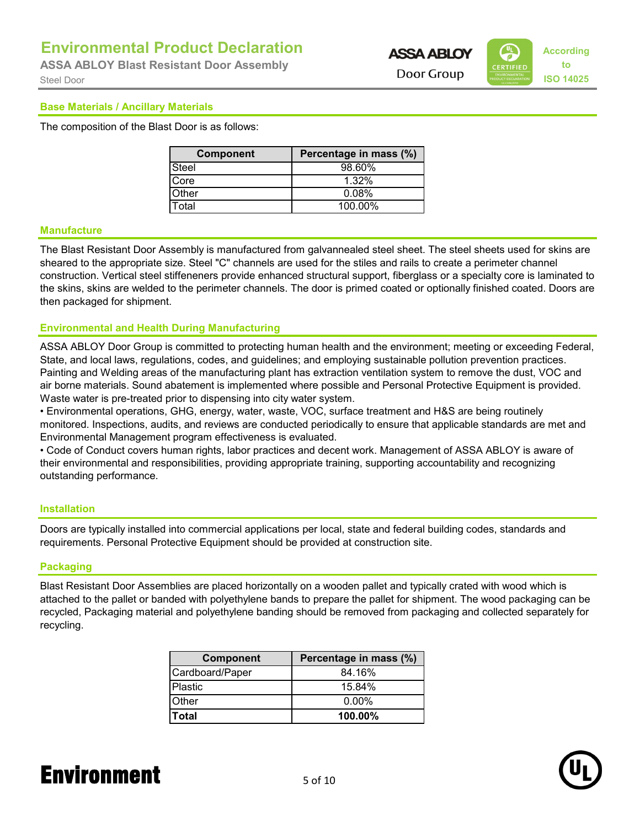Steel Door **ISO 14025 ASSA ABLOY Blast Resistant Door Assembly**

# **ASSA ABLOY**



#### **Base Materials / Ancillary Materials**

The composition of the Blast Door is as follows:

| <b>Component</b> | Percentage in mass (%) |
|------------------|------------------------|
| Steel            | 98.60%                 |
| Core             | 1.32%                  |
| Other            | 0.08%                  |
| Total            | 100.00%                |

#### **Manufacture**

The Blast Resistant Door Assembly is manufactured from galvannealed steel sheet. The steel sheets used for skins are sheared to the appropriate size. Steel "C" channels are used for the stiles and rails to create a perimeter channel construction. Vertical steel stiffeneners provide enhanced structural support, fiberglass or a specialty core is laminated to the skins, skins are welded to the perimeter channels. The door is primed coated or optionally finished coated. Doors are then packaged for shipment.

#### **Environmental and Health During Manufacturing**

ASSA ABLOY Door Group is committed to protecting human health and the environment; meeting or exceeding Federal, State, and local laws, regulations, codes, and guidelines; and employing sustainable pollution prevention practices. Painting and Welding areas of the manufacturing plant has extraction ventilation system to remove the dust, VOC and air borne materials. Sound abatement is implemented where possible and Personal Protective Equipment is provided. Waste water is pre-treated prior to dispensing into city water system.

• Environmental operations, GHG, energy, water, waste, VOC, surface treatment and H&S are being routinely monitored. Inspections, audits, and reviews are conducted periodically to ensure that applicable standards are met and Environmental Management program effectiveness is evaluated.

• Code of Conduct covers human rights, labor practices and decent work. Management of ASSA ABLOY is aware of their environmental and responsibilities, providing appropriate training, supporting accountability and recognizing outstanding performance.

#### **Installation**

Doors are typically installed into commercial applications per local, state and federal building codes, standards and requirements. Personal Protective Equipment should be provided at construction site.

#### **Packaging**

Blast Resistant Door Assemblies are placed horizontally on a wooden pallet and typically crated with wood which is attached to the pallet or banded with polyethylene bands to prepare the pallet for shipment. The wood packaging can be recycled, Packaging material and polyethylene banding should be removed from packaging and collected separately for recycling.

| <b>Component</b> | Percentage in mass (%) |
|------------------|------------------------|
| Cardboard/Paper  | 84.16%                 |
| lPlastic         | 15.84%                 |
| Other            | $0.00\%$               |
| <b>Total</b>     | 100.00%                |

## Environment 5 of 10

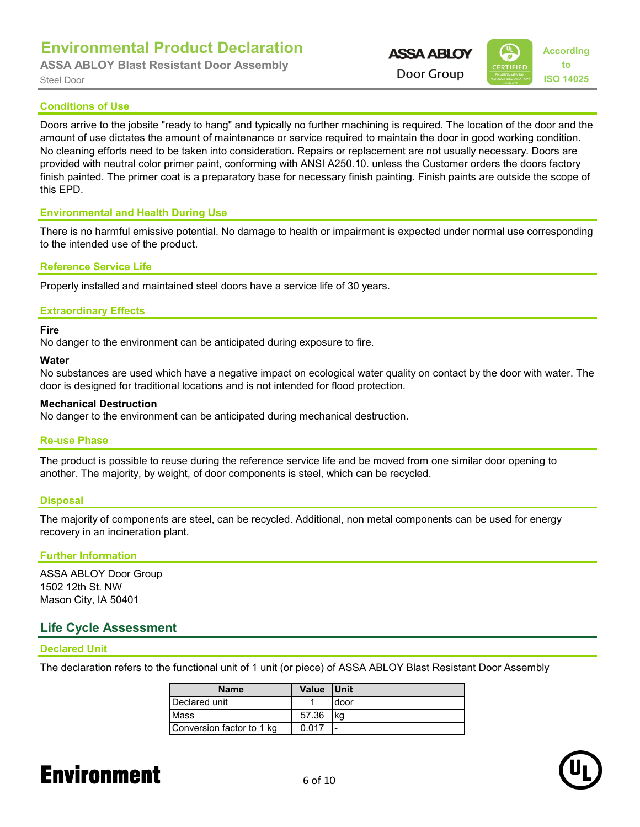**ASSA ABLOY Blast Resistant Door Assembly**

```
According
                      ASSA ABLOY
                                  to
Steel Door ISO 14025
```
#### **Conditions of Use**

Doors arrive to the jobsite "ready to hang" and typically no further machining is required. The location of the door and the amount of use dictates the amount of maintenance or service required to maintain the door in good working condition. No cleaning efforts need to be taken into consideration. Repairs or replacement are not usually necessary. Doors are provided with neutral color primer paint, conforming with ANSI A250.10. unless the Customer orders the doors factory finish painted. The primer coat is a preparatory base for necessary finish painting. Finish paints are outside the scope of this EPD.

#### **Environmental and Health During Use**

There is no harmful emissive potential. No damage to health or impairment is expected under normal use corresponding to the intended use of the product.

#### **Reference Service Life**

Properly installed and maintained steel doors have a service life of 30 years.

#### **Extraordinary Effects**

#### **Fire**

No danger to the environment can be anticipated during exposure to fire.

#### **Water**

No substances are used which have a negative impact on ecological water quality on contact by the door with water. The door is designed for traditional locations and is not intended for flood protection.

#### **Mechanical Destruction**

No danger to the environment can be anticipated during mechanical destruction.

#### **Re-use Phase**

The product is possible to reuse during the reference service life and be moved from one similar door opening to another. The majority, by weight, of door components is steel, which can be recycled.

#### **Disposal**

The majority of components are steel, can be recycled. Additional, non metal components can be used for energy recovery in an incineration plant.

#### **Further Information**

ASSA ABLOY Door Group 1502 12th St. NW Mason City, IA 50401

#### **Life Cycle Assessment**

#### **Declared Unit**

The declaration refers to the functional unit of 1 unit (or piece) of ASSA ABLOY Blast Resistant Door Assembly

| <b>Name</b>               | <b>Value</b> | <b>I</b> Unit |
|---------------------------|--------------|---------------|
| Declared unit             |              | door          |
| <b>Mass</b>               | 57.36        | l ka          |
| Conversion factor to 1 kg | 0.017        |               |

## Environment 6 of 10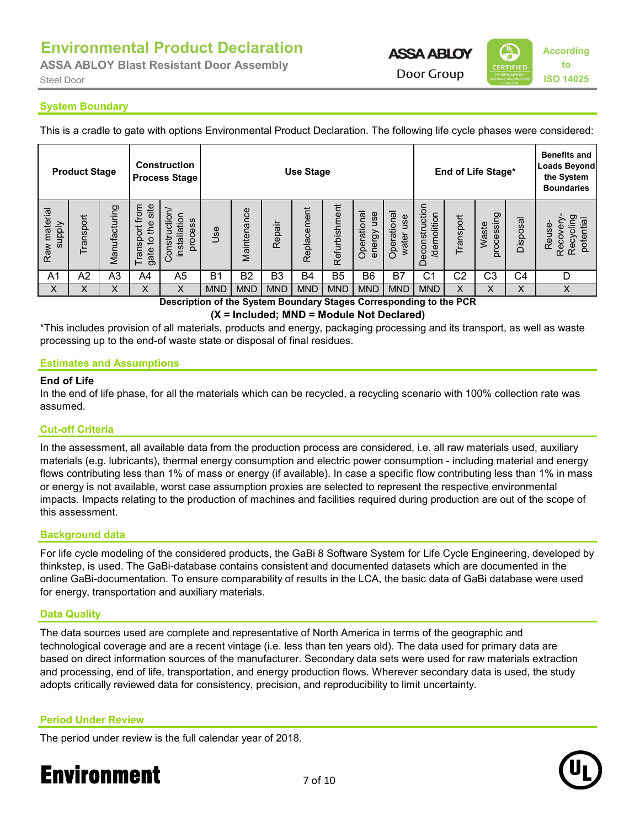**ASSA ABLOY Blast Resistant Door Assembly**



**System Boundary**

This is a cradle to gate with options Environmental Product Declaration. The following life cycle phases were considered:

|                               | <b>Product Stage</b> |               |                                            | <b>Construction</b><br><b>Process Stage</b> | End of Life Stage*<br><b>Use Stage</b> |                |                |             |                | <b>Benefits and</b><br><b>Loads Beyond</b><br>the System<br><b>Boundaries</b> |                             |                              |           |                                    |                |                                                            |
|-------------------------------|----------------------|---------------|--------------------------------------------|---------------------------------------------|----------------------------------------|----------------|----------------|-------------|----------------|-------------------------------------------------------------------------------|-----------------------------|------------------------------|-----------|------------------------------------|----------------|------------------------------------------------------------|
| Raw material<br><b>Alddns</b> | ransport             | Manufacturing | site<br>Transport from<br>the<br>đ<br>gate | Construction<br>installation<br>process     | Jse                                    | Maintenance    | Repair         | Replacement | Refurbishment  | Operational<br>use<br>energy                                                  | Operational<br>use<br>water | Deconstruction<br>demolition | Transport | pg<br>Waste<br>rocessi<br>$\Omega$ | Disposal       | Recycling<br>potential<br>Reuse-<br>ō<br>Reco <sup>®</sup> |
| A <sub>1</sub>                | A2                   | A3            | A4                                         | A <sub>5</sub>                              | B <sub>1</sub>                         | B <sub>2</sub> | B <sub>3</sub> | <b>B4</b>   | B <sub>5</sub> | B6                                                                            | B7                          | C <sub>1</sub>               | C2        | C3                                 | C <sub>4</sub> | D                                                          |
| $\times$                      | Χ                    | X             | X                                          | Χ                                           | <b>MND</b>                             | <b>MND</b>     | <b>MND</b>     | <b>MND</b>  | <b>MND</b>     | <b>MND</b>                                                                    | <b>MND</b>                  | <b>MND</b>                   | Χ<br>---  | Χ                                  | X              |                                                            |

**Description of the System Boundary Stages Corresponding to the PCR (X = Included; MND = Module Not Declared)**

\*This includes provision of all materials, products and energy, packaging processing and its transport, as well as waste processing up to the end-of waste state or disposal of final residues.

#### **Estimates and Assumptions**

#### **End of Life**

In the end of life phase, for all the materials which can be recycled, a recycling scenario with 100% collection rate was assumed.

#### **Cut-off Criteria**

In the assessment, all available data from the production process are considered, i.e. all raw materials used, auxiliary materials (e.g. lubricants), thermal energy consumption and electric power consumption - including material and energy flows contributing less than 1% of mass or energy (if available). In case a specific flow contributing less than 1% in mass or energy is not available, worst case assumption proxies are selected to represent the respective environmental impacts. Impacts relating to the production of machines and facilities required during production are out of the scope of this assessment.

#### **Background data**

For life cycle modeling of the considered products, the GaBi 8 Software System for Life Cycle Engineering, developed by thinkstep, is used. The GaBi-database contains consistent and documented datasets which are documented in the online GaBi-documentation. To ensure comparability of results in the LCA, the basic data of GaBi database were used for energy, transportation and auxiliary materials.

#### **Data Quality**

The data sources used are complete and representative of North America in terms of the geographic and technological coverage and are a recent vintage (i.e. less than ten years old). The data used for primary data are based on direct information sources of the manufacturer. Secondary data sets were used for raw materials extraction and processing, end of life, transportation, and energy production flows. Wherever secondary data is used, the study adopts critically reviewed data for consistency, precision, and reproducibility to limit uncertainty.

#### **Period Under Review**

The period under review is the full calendar year of 2018.



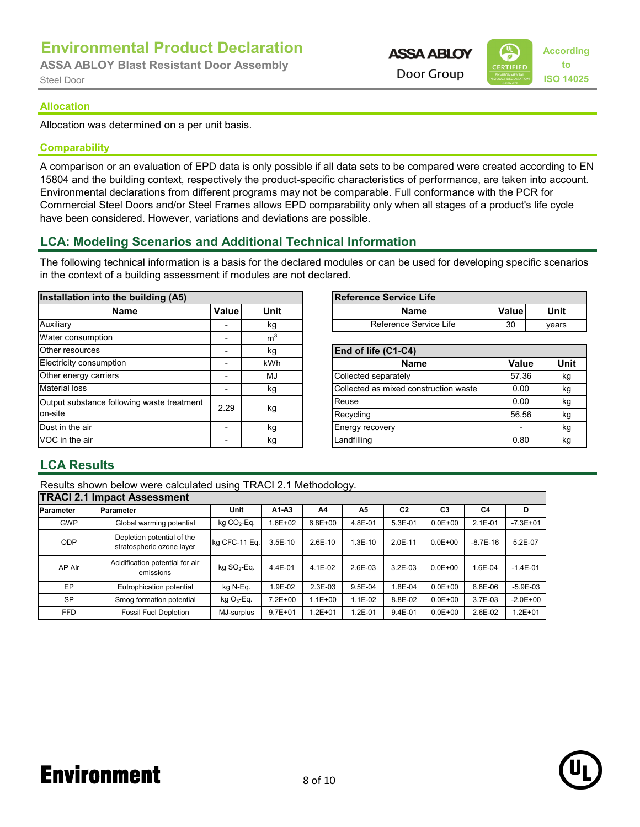**ASSA ABLOY Blast Resistant Door Assembly**

```
According
                          ASSA ABLOY
                                       to
                                  CERTIFIED
Steel Door ISO 14025
```
#### **Allocation**

Allocation was determined on a per unit basis.

#### **Comparability**

A comparison or an evaluation of EPD data is only possible if all data sets to be compared were created according to EN 15804 and the building context, respectively the product-specific characteristics of performance, are taken into account. Environmental declarations from different programs may not be comparable. Full conformance with the PCR for Commercial Steel Doors and/or Steel Frames allows EPD comparability only when all stages of a product's life cycle have been considered. However, variations and deviations are possible.

#### **LCA: Modeling Scenarios and Additional Technical Information**

The following technical information is a basis for the declared modules or can be used for developing specific scenarios in the context of a building assessment if modules are not declared.

| Installation into the building (A5)        |       |                | Reference Service Life                |       |             |
|--------------------------------------------|-------|----------------|---------------------------------------|-------|-------------|
| <b>Name</b>                                | Value | <b>Unit</b>    | <b>Name</b>                           | Value | <b>Unit</b> |
| Auxiliary                                  |       | kg             | Reference Service Life                | 30    | years       |
| Water consumption                          |       | m <sup>3</sup> |                                       |       |             |
| Other resources                            |       | kg             | End of life (C1-C4)                   |       |             |
| Electricity consumption                    |       | kWh            | <b>Name</b>                           | Value | Unit        |
| Other energy carriers                      |       | MJ             | Collected separately                  | 57.36 | kg          |
| <b>Material loss</b>                       |       | kg             | Collected as mixed construction waste | 0.00  | kg          |
| Output substance following waste treatment | 2.29  |                | Reuse                                 | 0.00  | kg          |
| on-site                                    |       | kg             | Recycling                             | 56.56 | kg          |
| Dust in the air                            |       | kg             | <b>Energy recovery</b>                |       | kg          |
| VOC in the air                             |       | kg             | Landfilling                           | 0.80  | kg          |

| the building (A5) |        |      | Reference Service Life |    |       |  |  |  |
|-------------------|--------|------|------------------------|----|-------|--|--|--|
| Name              | Valuel | Unit | Value<br>Unit<br>Name  |    |       |  |  |  |
|                   |        | κg   | Reference Service Life | 30 | vears |  |  |  |
|                   |        |      |                        |    |       |  |  |  |

| End of life (C1-C4)                   |       |      |
|---------------------------------------|-------|------|
| <b>Name</b>                           | Value | Unit |
| Collected separately                  | 57.36 | kg   |
| Collected as mixed construction waste | 0.00  | kg   |
| Reuse                                 | 0.00  | kg   |
| Recycling                             | 56.56 | kq   |
| Energy recovery                       |       | kg   |
| Landfilling                           | 0.80  | kq   |

#### **LCA Results**

Results shown below were calculated using TRACI 2.1 Methodology.

|                   | <b>TRACI 2.1 Impact Assessment</b>                      |                         |             |             |             |                |                |                |              |
|-------------------|---------------------------------------------------------|-------------------------|-------------|-------------|-------------|----------------|----------------|----------------|--------------|
| <b>IParameter</b> | Parameter                                               | Unit                    | $A1-A3$     | A4          | A5          | C <sub>2</sub> | C <sub>3</sub> | C <sub>4</sub> | D            |
| <b>GWP</b>        | Global warming potential                                | kg $CO2$ -Eq.           | $.6E + 02$  | $6.8E + 00$ | 4.8E-01     | 5.3E-01        | $0.0E + 00$    | $2.1E-01$      | $-7.3E + 01$ |
| ODP               | Depletion potential of the<br>stratospheric ozone layer | kg CFC-11 Eq.           | $3.5E-10$   | $2.6E-10$   | $.3E-10$    | $2.0E-11$      | $0.0E + 00$    | $-8.7E-16$     | 5.2E-07      |
| AP Air            | Acidification potential for air<br>emissions            | kg SO <sub>2</sub> -Eq. | 4.4E-01     | $4.1E - 02$ | $2.6E - 03$ | $3.2E - 03$    | $0.0E + 00$    | 1.6E-04        | $-1.4E-01$   |
| EP                | Eutrophication potential                                | kg N-Eq.                | .9E-02      | 2.3E-03     | 9.5E-04     | $.8E - 04$     | $0.0E + 00$    | 8.8E-06        | $-5.9E-03$   |
| <b>SP</b>         | Smog formation potential                                | $kgO3-Eq.$              | $7.2E + 00$ | $1.1E + 00$ | 1.1E-02     | 8.8E-02        | $0.0E + 00$    | 3.7E-03        | $-2.0E + 00$ |
| <b>FFD</b>        | <b>Fossil Fuel Depletion</b>                            | MJ-surplus              | $9.7E + 01$ | $.2E + 01$  | $.2E - 01$  | 9.4E-01        | $0.0E + 00$    | 2.6E-02        | $1.2E + 01$  |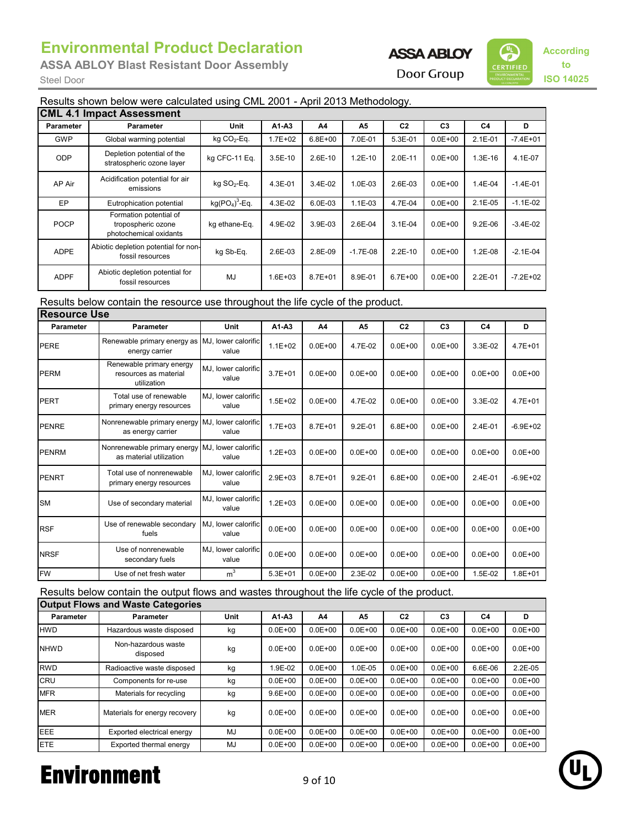**ASSA ABLOY Blast Resistant Door Assembly**

## **ASSA ABLOY**



#### Results shown below were calculated using CML 2001 - April 2013 Methodology.

|                  | <b>CML 4.1 Impact Assessment</b>                                       |                 |             |             |            |                |                |                |              |
|------------------|------------------------------------------------------------------------|-----------------|-------------|-------------|------------|----------------|----------------|----------------|--------------|
| <b>Parameter</b> | Parameter                                                              | Unit            | $A1-A3$     | A4          | A5         | C <sub>2</sub> | C <sub>3</sub> | C <sub>4</sub> | D            |
| <b>GWP</b>       | Global warming potential                                               | kg $CO2$ -Eq.   | $1.7E + 02$ | $6.8E + 00$ | 7.0E-01    | 5.3E-01        | $0.0E + 00$    | $2.1E - 01$    | $-7.4E + 01$ |
| <b>ODP</b>       | Depletion potential of the<br>stratospheric ozone layer                | kg CFC-11 Eq.   | $3.5E-10$   | 2.6E-10     | $1.2E-10$  | 2.0E-11        | $0.0E + 00$    | 1.3E-16        | 4.1E-07      |
| AP Air           | Acidification potential for air<br>emissions                           | kg $SO_2$ -Eq.  | 4.3E-01     | 3.4E-02     | 1.0E-03    | 2.6E-03        | $0.0E + 00$    | 1.4E-04        | $-1.4E-01$   |
| EP               | Eutrophication potential                                               | $kg(PO4)3$ -Eq. | 4.3E-02     | 6.0E-03     | $1.1E-03$  | 4.7E-04        | $0.0E + 00$    | $2.1E-05$      | $-1.1E-02$   |
| <b>POCP</b>      | Formation potential of<br>tropospheric ozone<br>photochemical oxidants | kg ethane-Eq.   | 4.9E-02     | 3.9E-03     | 2.6E-04    | $3.1E-04$      | $0.0E + 00$    | $9.2E - 06$    | $-3.4E-02$   |
| <b>ADPE</b>      | Abiotic depletion potential for non-<br>fossil resources               | kg Sb-Eq.       | 2.6E-03     | 2.8E-09     | $-1.7E-08$ | $2.2E-10$      | $0.0E + 00$    | 1.2E-08        | $-2.1E-04$   |
| <b>ADPF</b>      | Abiotic depletion potential for<br>fossil resources                    | MJ              | $1.6E + 03$ | $8.7E + 01$ | 8.9E-01    | $6.7E + 00$    | $0.0E + 00$    | 2.2E-01        | $-7.2E + 02$ |

Results below contain the resource use throughout the life cycle of the product.

| <b>Resource Use</b> |                                                                            |                              |             |             |             |                |                |                |              |
|---------------------|----------------------------------------------------------------------------|------------------------------|-------------|-------------|-------------|----------------|----------------|----------------|--------------|
| <b>Parameter</b>    | <b>Parameter</b>                                                           | Unit                         | $A1-A3$     | A4          | А5          | C <sub>2</sub> | C <sub>3</sub> | C <sub>4</sub> | D            |
| <b>PERE</b>         | Renewable primary energy as MJ, lower calorific<br>energy carrier          | value                        | $1.1E + 02$ | $0.0E + 00$ | 4.7E-02     | $0.0E + 00$    | $0.0E + 00$    | 3.3E-02        | $4.7E + 01$  |
| <b>PERM</b>         | Renewable primary energy<br>resources as material<br>utilization           | MJ, lower calorific<br>value | $3.7E + 01$ | $0.0E + 00$ | $0.0E + 00$ | $0.0E + 00$    | $0.0E + 00$    | $0.0E + 00$    | $0.0E + 00$  |
| <b>PERT</b>         | Total use of renewable<br>primary energy resources                         | MJ, lower calorific<br>value | $1.5E + 02$ | $0.0E + 00$ | 4.7E-02     | $0.0E + 00$    | $0.0E + 00$    | 3.3E-02        | $4.7E + 01$  |
| <b>PENRE</b>        | Nonrenewable primary energy MJ, lower calorific<br>as energy carrier       | value                        | $1.7E + 03$ | $8.7E + 01$ | $9.2E - 01$ | $6.8E + 00$    | $0.0E + 00$    | 2.4E-01        | $-6.9E + 02$ |
| <b>PENRM</b>        | Nonrenewable primary energy MJ, lower calorific<br>as material utilization | value                        | $1.2E + 03$ | $0.0E + 00$ | $0.0E + 00$ | $0.0E + 00$    | $0.0E + 00$    | $0.0E + 00$    | $0.0E + 00$  |
| <b>PENRT</b>        | Total use of nonrenewable<br>primary energy resources                      | MJ. lower calorific<br>value | $2.9E + 03$ | $8.7E + 01$ | $9.2E - 01$ | $6.8E + 00$    | $0.0E + 00$    | 2.4E-01        | $-6.9E + 02$ |
| <b>SM</b>           | Use of secondary material                                                  | MJ, lower calorific<br>value | $1.2E + 03$ | $0.0E + 00$ | $0.0E + 00$ | $0.0E + 00$    | $0.0E + 00$    | $0.0E + 00$    | $0.0E + 00$  |
| <b>RSF</b>          | Use of renewable secondary<br>fuels                                        | MJ. lower calorific<br>value | $0.0E + 00$ | $0.0E + 00$ | $0.0E + 00$ | $0.0E + 00$    | $0.0E + 00$    | $0.0E + 00$    | $0.0E + 00$  |
| <b>NRSF</b>         | Use of nonrenewable<br>secondary fuels                                     | MJ, lower calorific<br>value | $0.0E + 00$ | $0.0E + 00$ | $0.0E + 00$ | $0.0E + 00$    | $0.0E + 00$    | $0.0E + 00$    | $0.0E + 00$  |
| <b>FW</b>           | Use of net fresh water                                                     | m <sup>3</sup>               | $5.3E + 01$ | $0.0E + 00$ | 2.3E-02     | $0.0E + 00$    | $0.0E + 00$    | 1.5E-02        | $1.8E + 01$  |

Results below contain the output flows and wastes throughout the life cycle of the product.

| Output Flows and Waste Categories              |                               |             |             |             |             |                |                |             |             |  |
|------------------------------------------------|-------------------------------|-------------|-------------|-------------|-------------|----------------|----------------|-------------|-------------|--|
| <b>Parameter</b>                               | <b>Parameter</b>              | <b>Unit</b> | $A1-A3$     | A4          | A5          | C <sub>2</sub> | C <sub>3</sub> | C4          | D           |  |
| <b>HWD</b>                                     | Hazardous waste disposed      | kg          | $0.0E + 00$ | $0.0E + 00$ | $0.0E + 00$ | $0.0E + 00$    | $0.0E + 00$    | $0.0E + 00$ | $0.0E + 00$ |  |
| Non-hazardous waste<br><b>NHWD</b><br>disposed |                               | kg          | $0.0E + 00$ | $0.0E + 00$ | $0.0E + 00$ | $0.0E + 00$    | $0.0E + 00$    | $0.0E + 00$ | $0.0E + 00$ |  |
| <b>RWD</b>                                     | Radioactive waste disposed    | kg          | 1.9E-02     | $0.0E + 00$ | 1.0E-05     | $0.0E + 00$    | $0.0E + 00$    | 6.6E-06     | $2.2E-05$   |  |
| <b>CRU</b>                                     | Components for re-use         | kg          | $0.0E + 00$ | $0.0E + 00$ | $0.0E + 00$ | $0.0E + 00$    | $0.0E + 00$    | $0.0E + 00$ | $0.0E + 00$ |  |
| <b>MFR</b>                                     | Materials for recycling       | kg          | $9.6E + 00$ | $0.0E + 00$ | $0.0E + 00$ | $0.0E + 00$    | $0.0E + 00$    | $0.0E + 00$ | $0.0E + 00$ |  |
| <b>MER</b>                                     | Materials for energy recovery | kg          | $0.0E + 00$ | $0.0E + 00$ | $0.0E + 00$ | $0.0E + 00$    | $0.0E + 00$    | $0.0E + 00$ | $0.0E + 00$ |  |
| <b>IEEE</b>                                    | Exported electrical energy    | MJ          | $0.0E + 00$ | $0.0E + 00$ | $0.0E + 00$ | $0.0E + 00$    | $0.0E + 00$    | $0.0E + 00$ | $0.0E + 00$ |  |
| <b>IETE</b>                                    | Exported thermal energy       | MJ          | $0.0E + 00$ | $0.0E + 00$ | $0.0E + 00$ | $0.0E + 00$    | $0.0E + 00$    | $0.0E + 00$ | $0.0E + 00$ |  |

## Environment 9 of 10